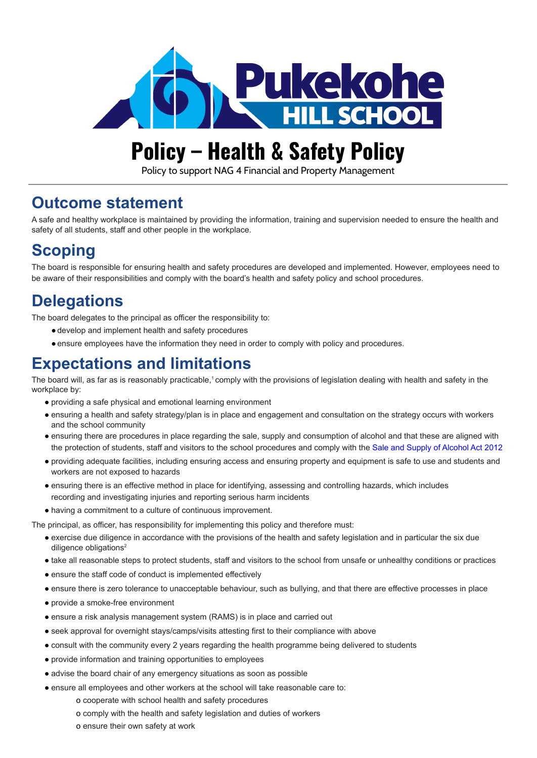

# **Policy – Health & Safety Policy**

Policy to support NAG 4 Financial and Property Management

### **Outcome statement**

A safe and healthy workplace is maintained by providing the information, training and supervision needed to ensure the health and safety of all students, staff and other people in the workplace.

# **Scoping**

The board is responsible for ensuring health and safety procedures are developed and implemented. However, employees need to be aware of their responsibilities and comply with the board's health and safety policy and school procedures.

# **Delegations**

The board delegates to the principal as officer the responsibility to:

- ●develop and implement health and safety procedures
- ●ensure employees have the information they need in order to comply with policy and procedures.

### **Expectations and limitations**

The board will, as far as is reasonably practicable,<sup>1</sup> comply with the provisions of legislation dealing with health and safety in the workplace by:

- providing a safe physical and emotional learning environment
- ensuring a health and safety strategy/plan is in place and engagement and consultation on the strategy occurs with workers and the school community
- ensuring there are procedures in place regarding the sale, supply and consumption of alcohol and that these are aligned with the protection of students, staff and visitors to the school procedures and comply with the Sale and [Supply of Alcohol Act 2012](http://www.legislation.govt.nz/act/public/2012/0120/latest/DLM3339333.html?src=qs)
- providing adequate facilities, including ensuring access and ensuring property and equipment is safe to use and students and workers are not exposed to hazards
- ensuring there is an effective method in place for identifying, assessing and controlling hazards, which includes recording and investigating injuries and reporting serious harm incidents
- having a commitment to a culture of continuous improvement.

The principal, as officer, has responsibility for implementing this policy and therefore must:

- exercise due diligence in accordance with the provisions of the health and safety legislation and in particular the six due diligence obligations<sup>2</sup>
- take all reasonable steps to protect students, staff and visitors to the school from unsafe or unhealthy conditions or practices
- ensure the staff code of conduct is implemented effectively
- ensure there is zero tolerance to unacceptable behaviour, such as bullying, and that there are effective processes in place
- provide a smoke-free environment
- ensure a risk analysis management system (RAMS) is in place and carried out
- seek approval for overnight stays/camps/visits attesting first to their compliance with above
- consult with the community every 2 years regarding the health programme being delivered to students
- provide information and training opportunities to employees
- advise the board chair of any emergency situations as soon as possible
- ensure all employees and other workers at the school will take reasonable care to:
	- o cooperate with school health and safety procedures
	- o comply with the health and safety legislation and duties of workers
	- o ensure their own safety at work